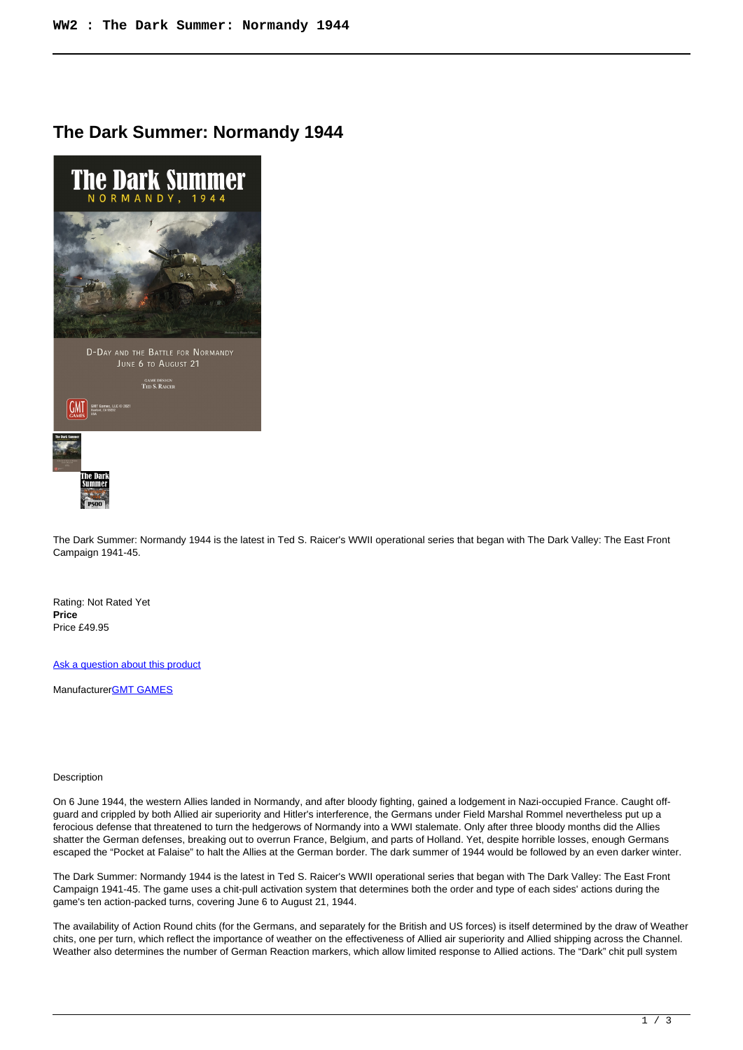## **The Dark Summer: Normandy 1944**



The Dark Summer: Normandy 1944 is the latest in Ted S. Raicer's WWII operational series that began with The Dark Valley: The East Front Campaign 1941-45.

Rating: Not Rated Yet **Price**  Price £49.95

[Ask a question about this product](https://www.secondchancegames.com/index.php?option=com_virtuemart&view=productdetails&task=askquestion&virtuemart_product_id=11932&virtuemart_category_id=5&tmpl=component)

Manufacturer[GMT GAMES](https://www.secondchancegames.com/index.php?option=com_virtuemart&view=manufacturer&virtuemart_manufacturer_id=2519&tmpl=component)

## Description

On 6 June 1944, the western Allies landed in Normandy, and after bloody fighting, gained a lodgement in Nazi-occupied France. Caught offguard and crippled by both Allied air superiority and Hitler's interference, the Germans under Field Marshal Rommel nevertheless put up a ferocious defense that threatened to turn the hedgerows of Normandy into a WWI stalemate. Only after three bloody months did the Allies shatter the German defenses, breaking out to overrun France, Belgium, and parts of Holland. Yet, despite horrible losses, enough Germans escaped the "Pocket at Falaise" to halt the Allies at the German border. The dark summer of 1944 would be followed by an even darker winter.

The Dark Summer: Normandy 1944 is the latest in Ted S. Raicer's WWII operational series that began with The Dark Valley: The East Front Campaign 1941-45. The game uses a chit-pull activation system that determines both the order and type of each sides' actions during the game's ten action-packed turns, covering June 6 to August 21, 1944.

The availability of Action Round chits (for the Germans, and separately for the British and US forces) is itself determined by the draw of Weather chits, one per turn, which reflect the importance of weather on the effectiveness of Allied air superiority and Allied shipping across the Channel. Weather also determines the number of German Reaction markers, which allow limited response to Allied actions. The "Dark" chit pull system